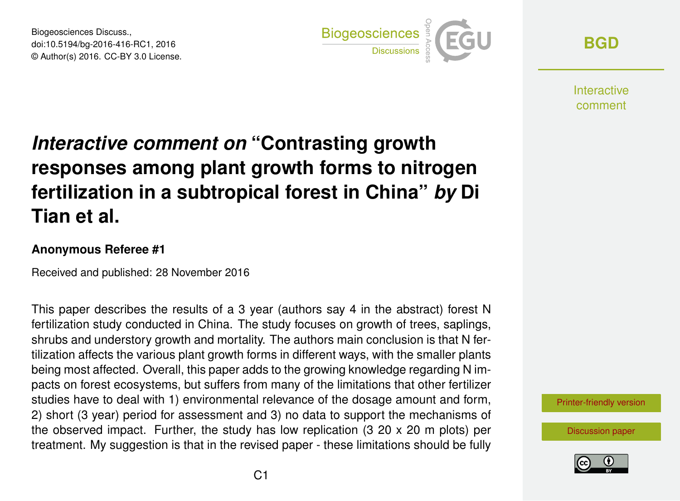Biogeosciences Discuss., doi:10.5194/bg-2016-416-RC1, 2016 © Author(s) 2016. CC-BY 3.0 License.



**[BGD](http://www.biogeosciences-discuss.net/)**

**Interactive** comment

# *Interactive comment on* **"Contrasting growth responses among plant growth forms to nitrogen fertilization in a subtropical forest in China"** *by* **Di Tian et al.**

#### **Anonymous Referee #1**

Received and published: 28 November 2016

This paper describes the results of a 3 year (authors say 4 in the abstract) forest N fertilization study conducted in China. The study focuses on growth of trees, saplings, shrubs and understory growth and mortality. The authors main conclusion is that N fertilization affects the various plant growth forms in different ways, with the smaller plants being most affected. Overall, this paper adds to the growing knowledge regarding N impacts on forest ecosystems, but suffers from many of the limitations that other fertilizer studies have to deal with 1) environmental relevance of the dosage amount and form, 2) short (3 year) period for assessment and 3) no data to support the mechanisms of the observed impact. Further, the study has low replication  $(3\ 20 \times 20 \text{ m}$  plots) per treatment. My suggestion is that in the revised paper - these limitations should be fully

[Printer-friendly version](http://www.biogeosciences-discuss.net/bg-2016-416/bg-2016-416-RC1-print.pdf)

[Discussion paper](http://www.biogeosciences-discuss.net/bg-2016-416)

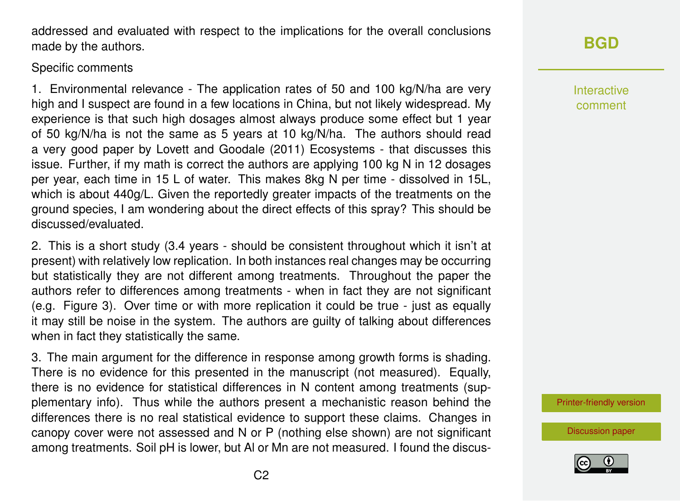$C<sub>2</sub>$ 

addressed and evaluated with respect to the implications for the overall conclusions made by the authors.

#### Specific comments

1. Environmental relevance - The application rates of 50 and 100 kg/N/ha are very high and I suspect are found in a few locations in China, but not likely widespread. My experience is that such high dosages almost always produce some effect but 1 year of 50 kg/N/ha is not the same as 5 years at 10 kg/N/ha. The authors should read a very good paper by Lovett and Goodale (2011) Ecosystems - that discusses this issue. Further, if my math is correct the authors are applying 100 kg N in 12 dosages per year, each time in 15 L of water. This makes 8kg N per time - dissolved in 15L, which is about 440g/L. Given the reportedly greater impacts of the treatments on the ground species, I am wondering about the direct effects of this spray? This should be discussed/evaluated.

2. This is a short study (3.4 years - should be consistent throughout which it isn't at present) with relatively low replication. In both instances real changes may be occurring but statistically they are not different among treatments. Throughout the paper the authors refer to differences among treatments - when in fact they are not significant (e.g. Figure 3). Over time or with more replication it could be true - just as equally it may still be noise in the system. The authors are guilty of talking about differences when in fact they statistically the same.

3. The main argument for the difference in response among growth forms is shading. There is no evidence for this presented in the manuscript (not measured). Equally, there is no evidence for statistical differences in N content among treatments (supplementary info). Thus while the authors present a mechanistic reason behind the differences there is no real statistical evidence to support these claims. Changes in canopy cover were not assessed and N or P (nothing else shown) are not significant among treatments. Soil pH is lower, but Al or Mn are not measured. I found the discus-

## **[BGD](http://www.biogeosciences-discuss.net/)**

Interactive comment

[Printer-friendly version](http://www.biogeosciences-discuss.net/bg-2016-416/bg-2016-416-RC1-print.pdf)

[Discussion paper](http://www.biogeosciences-discuss.net/bg-2016-416)